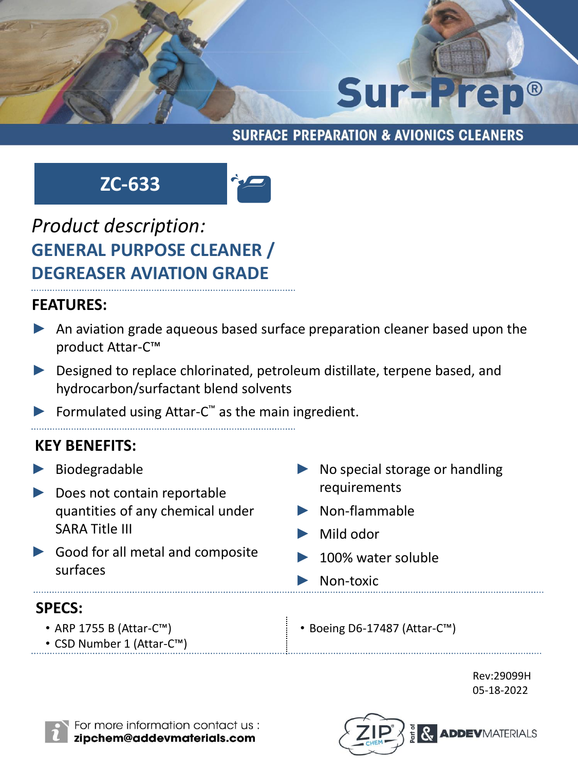

#### **SURFACE PREPARATION & AVIONICS CLEANERS**

## **ZC-633**



## *Product description:* **GENERAL PURPOSE CLEANER / DEGREASER AVIATION GRADE**

#### **FEATURES:**

- ► An aviation grade aqueous based surface preparation cleaner based upon the product Attar-C™
- ► Designed to replace chlorinated, petroleum distillate, terpene based, and hydrocarbon/surfactant blend solvents
- ▶ Formulated using Attar-C<sup>™</sup> as the main ingredient.

### **KEY BENEFITS:**

► Biodegradable ► Does not contain reportable quantities of any chemical under SARA Title III ► Good for all metal and composite surfaces No special storage or handling requirements ► Non-flammable ► Mild odor ► 100% water soluble Non-toxic • ARP 1755 B (Attar-C™) • CSD Number 1 (Attar-C™) • Boeing D6-17487 (Attar-C™) **SPECS:**

> Rev:29099H 05-18-2022



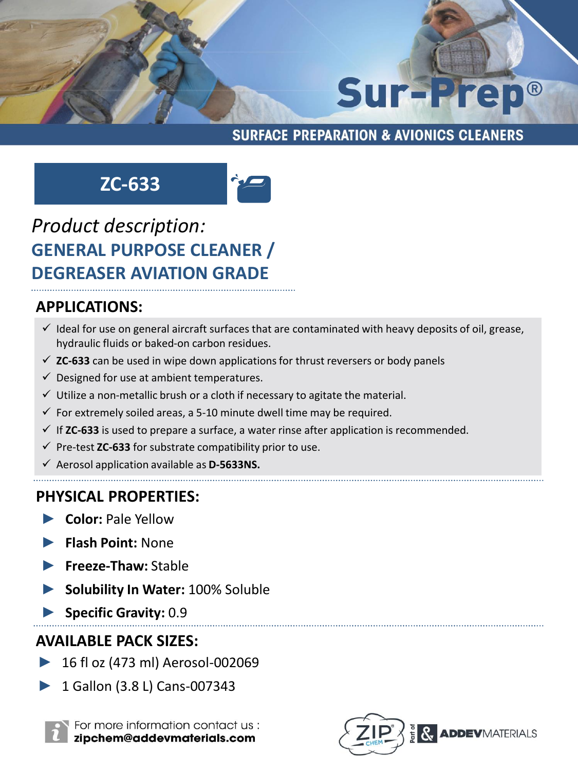## Sur-Prep®

#### **SURFACE PREPARATION & AVIONICS CLEANERS**

## **ZC-633**



## *Product description:* **GENERAL PURPOSE CLEANER / DEGREASER AVIATION GRADE**

#### **APPLICATIONS:**

- $\checkmark$  Ideal for use on general aircraft surfaces that are contaminated with heavy deposits of oil, grease, hydraulic fluids or baked-on carbon residues.
- $\checkmark$  **ZC-633** can be used in wipe down applications for thrust reversers or body panels
- $\checkmark$  Designed for use at ambient temperatures.
- $\checkmark$  Utilize a non-metallic brush or a cloth if necessary to agitate the material.
- $\checkmark$  For extremely soiled areas, a 5-10 minute dwell time may be required.
- $\checkmark$  If **ZC-633** is used to prepare a surface, a water rinse after application is recommended.
- ✓ Pre-test **ZC-633** for substrate compatibility prior to use.
- ✓ Aerosol application available as **D-5633NS.**

## **PHYSICAL PROPERTIES:**

- ► **Color:** Pale Yellow
- ► **Flash Point:** None
- ► **Freeze-Thaw:** Stable
- ► **Solubility In Water:** 100% Soluble
- ► **Specific Gravity:** 0.9

## **AVAILABLE PACK SIZES:**

- ► 16 fl oz (473 ml) Aerosol-002069
- ► 1 Gallon (3.8 L) Cans-007343